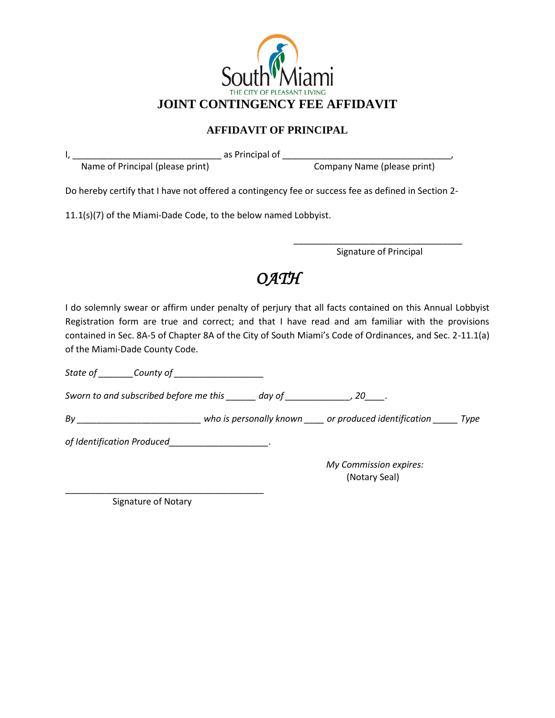

## **AFFIDAVIT OF PRINCIPAL**

I, \_\_\_\_\_\_\_\_\_\_\_\_\_\_\_\_\_\_\_\_\_\_\_\_\_\_\_\_\_\_ as Principal of \_\_\_\_\_\_\_\_\_\_\_\_\_\_\_\_\_\_\_\_\_\_\_\_\_\_\_\_\_\_\_\_\_\_,

Name of Principal (please print) Company Name (please print)

Do hereby certify that I have not offered a contingency fee or success fee as defined in Section 2-

11.1(s)(7) of the Miami-Dade Code, to the below named Lobbyist.

\_\_\_\_\_\_\_\_\_\_\_\_\_\_\_\_\_\_\_\_\_\_\_\_\_\_\_\_\_\_\_\_\_\_ Signature of Principal

## *OATH*

I do solemnly swear or affirm under penalty of perjury that all facts contained on this Annual Lobbyist Registration form are true and correct; and that I have read and am familiar with the provisions contained in Sec. 8A-5 of Chapter 8A of the City of South Miami's Code of Ordinances, and Sec. 2-11.1(a) of the Miami-Dade County Code.

*State of \_\_\_\_\_\_\_County of \_\_\_\_\_\_\_\_\_\_\_\_\_\_\_\_\_\_*

*Sworn to and subscribed before me this \_\_\_\_\_\_ day of \_\_\_\_\_\_\_\_\_\_\_\_\_, 20\_\_\_\_.* 

*By \_\_\_\_\_\_\_\_\_\_\_\_\_\_\_\_\_\_\_\_\_\_\_\_\_ who is personally known \_\_\_\_ or produced identification \_\_\_\_\_ Type* 

*of Identification Produced\_\_\_\_\_\_\_\_\_\_\_\_\_\_\_\_\_\_\_\_.*

*My Commission expires:* (Notary Seal)

\_\_\_\_\_\_\_\_\_\_\_\_\_\_\_\_\_\_\_\_\_\_\_\_\_\_\_\_\_\_\_\_\_\_\_\_\_\_\_\_ Signature of Notary